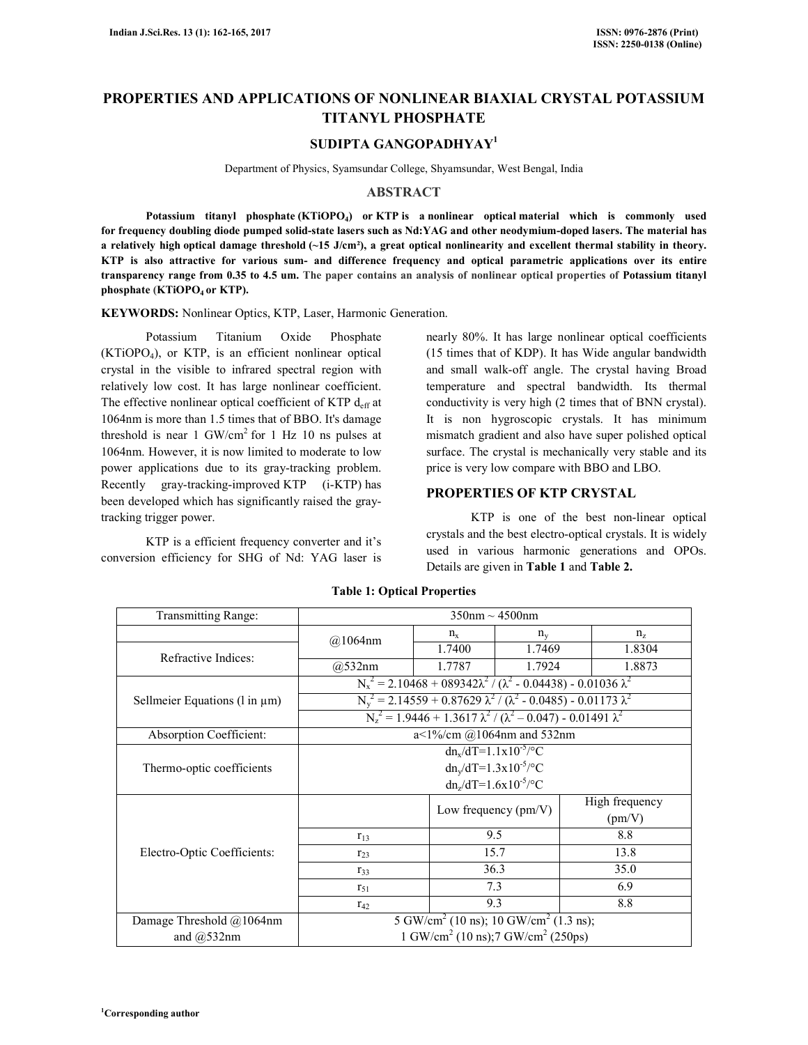# **PROPERTIES AND APPLICATIONS OF NONLINEAR BIAXIAL CRYSTAL POTASSIUM TITANYL PHOSPHATE**

## **SUDIPTA GANGOPADHYAY<sup>1</sup>**

Department of Physics, Syamsundar College, Shyamsundar, West Bengal, India

## **ABSTRACT**

 **Potassium titanyl phosphate (KTiOPO<sup>4</sup> ) or KTP is a nonlinear optical material which is commonly used for frequency doubling diode pumped solid-state lasers such as Nd:YAG and other neodymium-doped lasers. The material has a relatively high optical damage threshold (~15 J/cm²), a great optical nonlinearity and excellent thermal stability in theory. KTP is also attractive for various sum- and difference frequency and optical parametric applications over its entire transparency range from 0.35 to 4.5 um. The paper contains an analysis of nonlinear optical properties of Potassium titanyl phosphate (KTiOPO4 or KTP).** 

**KEYWORDS:** Nonlinear Optics, KTP, Laser, Harmonic Generation.

 Potassium Titanium Oxide Phosphate  $(KTiOPO<sub>4</sub>)$ , or KTP, is an efficient nonlinear optical crystal in the visible to infrared spectral region with relatively low cost. It has large nonlinear coefficient. The effective nonlinear optical coefficient of KTP  $d_{\text{eff}}$  at 1064nm is more than 1.5 times that of BBO. It's damage threshold is near  $1 \text{ GW/cm}^2$  for  $1 \text{ Hz}$  10 ns pulses at 1064nm. However, it is now limited to moderate to low power applications due to its gray-tracking problem. Recently gray-tracking-improved KTP (i-KTP) has been developed which has significantly raised the graytracking trigger power.

 KTP is a efficient frequency converter and it's conversion efficiency for SHG of Nd: YAG laser is

nearly 80%. It has large nonlinear optical coefficients (15 times that of KDP). It has Wide angular bandwidth and small walk-off angle. The crystal having Broad temperature and spectral bandwidth. Its thermal conductivity is very high (2 times that of BNN crystal). It is non hygroscopic crystals. It has minimum mismatch gradient and also have super polished optical surface. The crystal is mechanically very stable and its price is very low compare with BBO and LBO.

# **PROPERTIES OF KTP CRYSTAL**

 KTP is one of the best non-linear optical crystals and the best electro-optical crystals. It is widely used in various harmonic generations and OPOs. Details are given in **Table 1** and **Table 2.** 

| <b>Transmitting Range:</b>                        | $350$ nm ~ 4500nm                                                                       |                        |             |                |  |  |
|---------------------------------------------------|-----------------------------------------------------------------------------------------|------------------------|-------------|----------------|--|--|
|                                                   | @1064nm                                                                                 | $n_{x}$                | $n_{\rm v}$ | $n_{z}$        |  |  |
| Refractive Indices:                               |                                                                                         | 1.7400                 | 1.7469      | 1.8304         |  |  |
|                                                   | @532nm                                                                                  | 1.7787                 | 1.7924      | 1.8873         |  |  |
| Sellmeier Equations $(l \text{ in } \mu\text{m})$ | $N_x^2$ = 2.10468 + 089342 $\lambda^2$ / ( $\lambda^2$ - 0.04438) - 0.01036 $\lambda^2$ |                        |             |                |  |  |
|                                                   | $N_v^2 = 2.14559 + 0.87629 \lambda^2 / (\lambda^2 - 0.0485) - 0.01173 \lambda^2$        |                        |             |                |  |  |
|                                                   | $N_z^2 = 1.9446 + 1.3617 \lambda^2 / (\lambda^2 - 0.047) - 0.01491 \lambda^2$           |                        |             |                |  |  |
| Absorption Coefficient:                           | $a<1\%$ /cm @1064nm and 532nm                                                           |                        |             |                |  |  |
| Thermo-optic coefficients                         | $dn_v/dT = 1.1x10^{-5}/^{\circ}C$                                                       |                        |             |                |  |  |
|                                                   | $dn_v/dT = 1.3x10^{-5}/^{\circ}C$                                                       |                        |             |                |  |  |
|                                                   | $dn_z/dT = 1.6x10^{-5}/^{\circ}C$                                                       |                        |             |                |  |  |
| Electro-Optic Coefficients:                       |                                                                                         | Low frequency $(pm/V)$ |             | High frequency |  |  |
|                                                   |                                                                                         |                        |             | (pm/V)         |  |  |
|                                                   | $r_{13}$                                                                                |                        | 9.5         | 8.8            |  |  |
|                                                   | $r_{23}$                                                                                |                        | 15.7        | 13.8           |  |  |
|                                                   | $r_{33}$                                                                                |                        | 36.3        | 35.0           |  |  |
|                                                   | $r_{51}$                                                                                | 7.3                    |             | 6.9            |  |  |
|                                                   | $r_{42}$                                                                                | 9.3                    |             | 8.8            |  |  |
| Damage Threshold $@1064nm$                        | 5 GW/cm <sup>2</sup> (10 ns); 10 GW/cm <sup>2</sup> (1.3 ns);                           |                        |             |                |  |  |
| and $@532nm$                                      | $1 \text{ GW/cm}^2$ (10 ns); 7 GW/cm <sup>2</sup> (250ps)                               |                        |             |                |  |  |

### **Table 1: Optical Properties**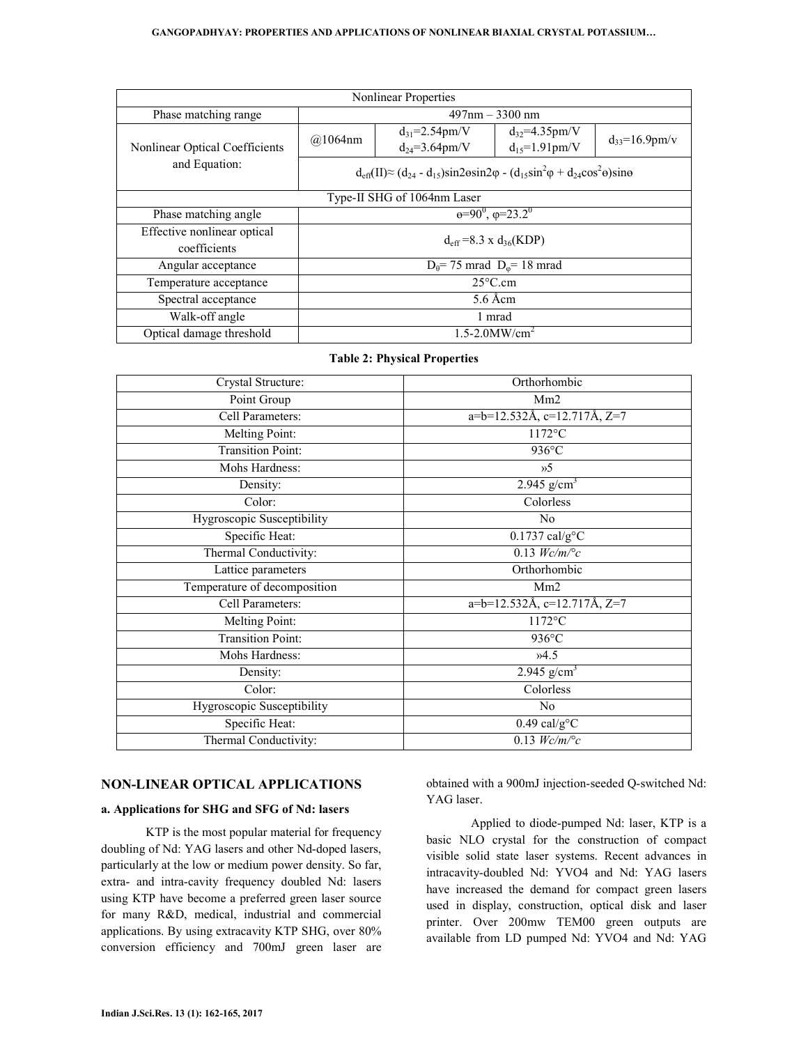#### **GANGOPADHYAY: PROPERTIES AND APPLICATIONS OF NONLINEAR BIAXIAL CRYSTAL POTASSIUM…**

| <b>Nonlinear Properties</b>                     |                                                                                                                           |                             |                             |                      |  |  |  |
|-------------------------------------------------|---------------------------------------------------------------------------------------------------------------------------|-----------------------------|-----------------------------|----------------------|--|--|--|
| Phase matching range                            | $497$ nm $-3300$ nm                                                                                                       |                             |                             |                      |  |  |  |
| Nonlinear Optical Coefficients<br>and Equation: | @1064nm                                                                                                                   | $d_{31} = 2.54 \text{pm/V}$ | $d_{32} = 4.35 \text{pm/V}$ | $d_{33} = 16.9$ pm/v |  |  |  |
|                                                 |                                                                                                                           | $d_{24} = 3.64$ pm/V        | $d_{15} = 1.91$ pm/V        |                      |  |  |  |
|                                                 | $d_{eff}(II) \approx (d_{24} - d_{15}) \sin 2\theta \sin 2\phi - (d_{15} \sin^2 \phi + d_{24} \cos^2 \theta) \sin \theta$ |                             |                             |                      |  |  |  |
| Type-II SHG of 1064nm Laser                     |                                                                                                                           |                             |                             |                      |  |  |  |
| Phase matching angle                            | $\Theta = 90^{\circ}, \ \Phi = 23.2^{\circ}$                                                                              |                             |                             |                      |  |  |  |
| Effective nonlinear optical                     |                                                                                                                           |                             |                             |                      |  |  |  |
| coefficients                                    | $d_{eff} = 8.3$ x $d_{36}$ (KDP)                                                                                          |                             |                             |                      |  |  |  |
| Angular acceptance                              | $D_{\theta}$ = 75 mrad $D_{\phi}$ = 18 mrad                                                                               |                             |                             |                      |  |  |  |
| Temperature acceptance                          | $25^{\circ}$ C.cm                                                                                                         |                             |                             |                      |  |  |  |
| Spectral acceptance                             | $5.6$ Åcm                                                                                                                 |                             |                             |                      |  |  |  |
| Walk-off angle                                  | 1 mrad                                                                                                                    |                             |                             |                      |  |  |  |
| Optical damage threshold                        | $1.5 - 2.0$ MW/cm <sup>2</sup>                                                                                            |                             |                             |                      |  |  |  |

| Crystal Structure:           | Orthorhombic                                          |  |  |
|------------------------------|-------------------------------------------------------|--|--|
| Point Group                  | Mm2                                                   |  |  |
| Cell Parameters:             | $a=b=12.532\text{\AA}$ , $c=12.717\text{\AA}$ , $Z=7$ |  |  |
| Melting Point:               | 1172°C                                                |  |  |
| <b>Transition Point:</b>     | 936°C                                                 |  |  |
| Mohs Hardness:               | 5/5                                                   |  |  |
| Density:                     | $2.945$ g/cm <sup>3</sup>                             |  |  |
| Color:                       | $\overline{\text{Colorless}}$                         |  |  |
| Hygroscopic Susceptibility   | N <sub>0</sub>                                        |  |  |
| Specific Heat:               | $0.1737$ cal/g°C                                      |  |  |
| Thermal Conductivity:        | $0.13$ Wc/m/°c                                        |  |  |
| Lattice parameters           | Orthorhombic                                          |  |  |
| Temperature of decomposition | Mm2                                                   |  |  |
| Cell Parameters:             | $a=b=12.532\text{\AA}$ , $c=12.717\text{\AA}$ , $Z=7$ |  |  |
| Melting Point:               | 1172°C                                                |  |  |
| <b>Transition Point:</b>     | 936°C                                                 |  |  |
| Mohs Hardness:               | $.5\lambda$                                           |  |  |
| Density:                     | $2.945$ g/cm <sup>3</sup>                             |  |  |
| Color:                       | Colorless                                             |  |  |
| Hygroscopic Susceptibility   | No                                                    |  |  |
| Specific Heat:               | $0.49$ cal/g $\rm{^{\circ}C}$                         |  |  |
| Thermal Conductivity:        | $0.13$ Wc/m/ $\degree$ c                              |  |  |

#### **Table 2: Physical Properties**

## **NON-LINEAR OPTICAL APPLICATIONS**

## **a. Applications for SHG and SFG of Nd: lasers**

 KTP is the most popular material for frequency doubling of Nd: YAG lasers and other Nd-doped lasers, particularly at the low or medium power density. So far, extra- and intra-cavity frequency doubled Nd: lasers using KTP have become a preferred green laser source for many R&D, medical, industrial and commercial applications. By using extracavity KTP SHG, over 80% conversion efficiency and 700mJ green laser are obtained with a 900mJ injection-seeded Q-switched Nd: YAG laser.

 Applied to diode-pumped Nd: laser, KTP is a basic NLO crystal for the construction of compact visible solid state laser systems. Recent advances in intracavity-doubled Nd: YVO4 and Nd: YAG lasers have increased the demand for compact green lasers used in display, construction, optical disk and laser printer. Over 200mw TEM00 green outputs are available from LD pumped Nd: YVO4 and Nd: YAG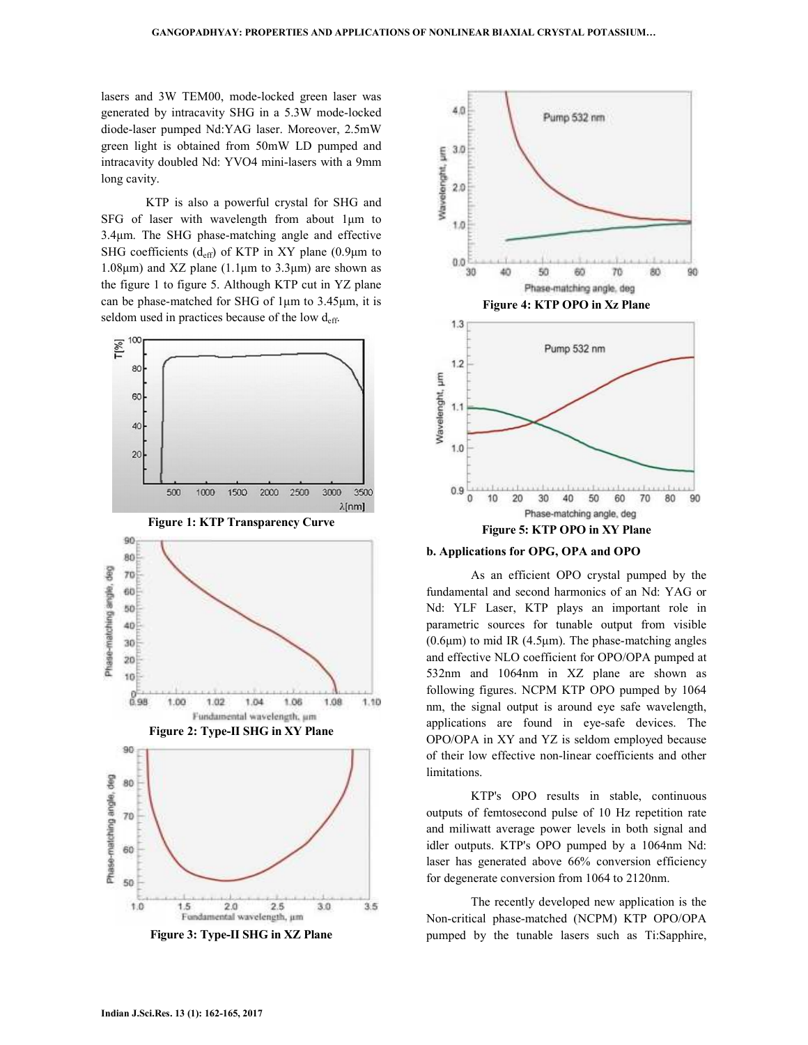lasers and 3W TEM00, mode-locked green laser was generated by intracavity SHG in a 5.3W mode-locked diode-laser pumped Nd:YAG laser. Moreover, 2.5mW green light is obtained from 50mW LD pumped and intracavity doubled Nd: YVO4 mini-lasers with a 9mm long cavity.

 KTP is also a powerful crystal for SHG and SFG of laser with wavelength from about 1µm to 3.4µm. The SHG phase-matching angle and effective SHG coefficients  $(d_{\text{eff}})$  of KTP in XY plane (0.9 $\mu$ m to 1.08 $\mu$ m) and XZ plane (1.1 $\mu$ m to 3.3 $\mu$ m) are shown as the figure 1 to figure 5. Although KTP cut in YZ plane can be phase-matched for SHG of 1µm to 3.45µm, it is seldom used in practices because of the low d<sub>eff</sub>.



**Figure 3: Type-II SHG in XZ Plane** 





 As an efficient OPO crystal pumped by the fundamental and second harmonics of an Nd: YAG or Nd: YLF Laser, KTP plays an important role in parametric sources for tunable output from visible  $(0.6\mu m)$  to mid IR  $(4.5\mu m)$ . The phase-matching angles and effective NLO coefficient for OPO/OPA pumped at 532nm and 1064nm in XZ plane are shown as following figures. NCPM KTP OPO pumped by 1064 nm, the signal output is around eye safe wavelength, applications are found in eye-safe devices. The OPO/OPA in XY and YZ is seldom employed because of their low effective non-linear coefficients and other limitations.

 KTP's OPO results in stable, continuous outputs of femtosecond pulse of 10 Hz repetition rate and miliwatt average power levels in both signal and idler outputs. KTP's OPO pumped by a 1064nm Nd: laser has generated above 66% conversion efficiency for degenerate conversion from 1064 to 2120nm.

 The recently developed new application is the Non-critical phase-matched (NCPM) KTP OPO/OPA pumped by the tunable lasers such as Ti:Sapphire,